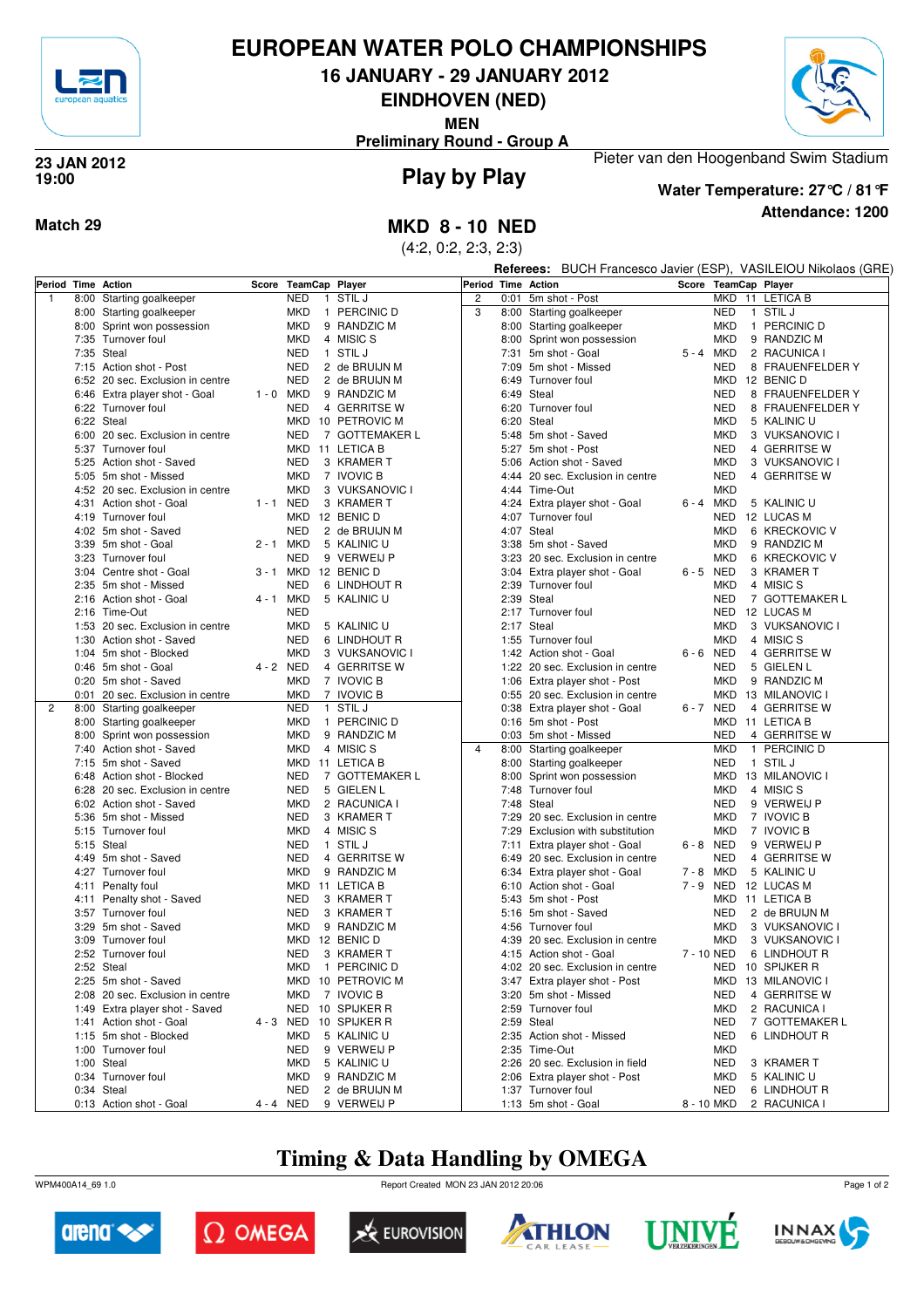

# **EUROPEAN WATER POLO CHAMPIONSHIPS**

**16 JANUARY - 29 JANUARY 2012**

**EINDHOVEN (NED)**

**MEN**

**Preliminary Round - Group A**



#### **Play by Play 23 JAN 2012 19:00**



### **Attendance: 1200 Water Temperature: 27°C / 81°F**

Pieter van den Hoogenband Swim Stadium

**Match 29 MKD 8 - 10 NED**

(4:2, 0:2, 2:3, 2:3)

**Referees:** BUCH Francesco Javier (ESP), VASILEIOU Nikolaos (GRE)

| <b>NED</b><br>STIL J<br>$\overline{c}$<br>MKD 11 LETICA B<br>$\mathbf{1}$<br>Starting goalkeeper<br>0:01<br>8:00<br>1<br>3<br>1 STIL J<br><b>MKD</b><br>1 PERCINIC D<br>8:00 Starting goalkeeper<br><b>NED</b><br>8:00 Starting goalkeeper<br><b>MKD</b><br>9 RANDZIC M<br>MKD<br>1 PERCINIC D<br>8:00 Sprint won possession<br>8:00 Starting goalkeeper<br>7:35 Turnover foul<br><b>MKD</b><br>4 MISIC S<br>8:00 Sprint won possession<br><b>MKD</b><br>9 RANDZIC M<br><b>NED</b><br>7:35 Steal<br><b>STILJ</b><br>7:31 5m shot - Goal<br>5-4 MKD<br>2 RACUNICA I<br>$\mathbf{1}$<br><b>NED</b><br>2 de BRUIJN M<br>5m shot - Missed<br><b>NED</b><br>8 FRAUENFELDER Y<br>7:15 Action shot - Post<br>7:09<br><b>NED</b><br>6:52 20 sec. Exclusion in centre<br>2 de BRUIJN M<br>MKD<br>12 BENIC D<br>6:49<br>Turnover foul<br>$1 - 0$ MKD<br><b>NED</b><br>6:46 Extra player shot - Goal<br>9 RANDZIC M<br>6:49 Steal<br>8 FRAUENFELDER Y<br>6:22 Turnover foul<br><b>NED</b><br>4 GERRITSE W<br>6:20 Turnover foul<br><b>NED</b><br>8 FRAUENFELDER Y<br>6:22 Steal<br>MKD 10 PETROVIC M<br>6:20 Steal<br>5 KALINIC U<br>MKD<br>6:00 20 sec. Exclusion in centre<br><b>NED</b><br>7 GOTTEMAKER L<br>5:48 5m shot - Saved<br>MKD<br>3 VUKSANOVIC I<br><b>NED</b><br>4 GERRITSE W<br>5:37 Turnover foul<br>MKD 11 LETICA B<br>5:27 5m shot - Post<br><b>NED</b><br>5:25 Action shot - Saved<br>3 KRAMER T<br>5:06<br>Action shot - Saved<br>MKD<br>3 VUKSANOVIC I<br><b>MKD</b><br>7 IVOVIC B<br><b>NED</b><br>4 GERRITSE W<br>5:05 5m shot - Missed<br>4:44 20 sec. Exclusion in centre<br><b>MKD</b><br>3 VUKSANOVIC I<br>4:44 Time-Out<br><b>MKD</b><br>4:52 20 sec. Exclusion in centre<br>1-1 NED<br>3 KRAMER T<br>6-4 MKD<br>5 KALINIC U<br>4:31 Action shot - Goal<br>4:24 Extra player shot - Goal<br>4:19 Turnover foul<br>MKD 12 BENIC D<br>4:07 Turnover foul<br>NED<br>12 LUCAS M<br><b>NED</b><br>2 de BRUIJN M<br>4:07 Steal<br>MKD<br>6 KRECKOVIC V<br>4:02 5m shot - Saved<br>2 - 1 MKD<br>5 KALINIC U<br>3:38 5m shot - Saved<br>9 RANDZIC M<br>3:39 5m shot - Goal<br>MKD<br><b>NED</b><br>3:23 Turnover foul<br>9 VERWEIJ P<br>3:23 20 sec. Exclusion in centre<br><b>MKD</b><br>6 KRECKOVIC V<br>3 - 1 MKD 12 BENIC D<br>6-5 NED<br>3 KRAMER T<br>3:04 Centre shot - Goal<br>3:04 Extra player shot - Goal<br><b>NED</b><br>4 MISIC S<br>2:35 5m shot - Missed<br>6 LINDHOUT R<br>2:39 Turnover foul<br><b>MKD</b><br>2:16 Action shot - Goal<br>4 - 1 MKD<br>5 KALINIC U<br>2:39 Steal<br><b>NED</b><br>7 GOTTEMAKER L<br>2:16 Time-Out<br><b>NED</b><br>2:17 Turnover foul<br>NED<br>12 LUCAS M<br><b>MKD</b><br>5 KALINIC U<br>2:17 Steal<br>3 VUKSANOVIC I<br>1:53 20 sec. Exclusion in centre<br>MKD<br>1:30 Action shot - Saved<br><b>NED</b><br>6 LINDHOUT R<br>1:55 Turnover foul<br><b>MKD</b><br>4 MISIC S<br><b>MKD</b><br>6-6 NED<br>4 GERRITSE W<br>1:04 5m shot - Blocked<br>3 VUKSANOVIC I<br>1:42 Action shot - Goal<br>4 - 2 NED<br>4 GERRITSE W<br>1:22 20 sec. Exclusion in centre<br><b>NED</b><br>5 GIELEN L<br>0:46 5m shot - Goal<br>0:20 5m shot - Saved<br><b>MKD</b><br>7 IVOVIC B<br><b>MKD</b><br>9 RANDZIC M<br>1:06 Extra player shot - Post<br>20 sec. Exclusion in centre<br><b>MKD</b><br>7 IVOVIC B<br>MKD<br>13 MILANOVIC I<br>0:01<br>0:55 20 sec. Exclusion in centre<br><b>NED</b><br>STIL J<br>$\overline{2}$<br>8:00<br>Starting goalkeeper<br>$\mathbf{1}$<br>0:38 Extra player shot - Goal<br>6-7 NED<br>4 GERRITSE W<br><b>MKD</b><br>1 PERCINIC D<br>0:16 5m shot - Post<br>MKD 11 LETICA B<br>8:00 Starting goalkeeper<br><b>MKD</b><br>9 RANDZIC M<br><b>NED</b><br>4 GERRITSE W<br>8:00 Sprint won possession<br>0:03 5m shot - Missed<br><b>MKD</b><br>1 PERCINIC D<br>7:40 Action shot - Saved<br><b>MKD</b><br>4 MISIC S<br>$\overline{4}$<br>8:00 Starting goalkeeper<br>1 STIL J<br>7:15 5m shot - Saved<br>MKD 11 LETICA B<br><b>NED</b><br>8:00 Starting goalkeeper<br><b>NED</b><br>7 GOTTEMAKER L<br>8:00 Sprint won possession<br>MKD 13 MILANOVIC I<br>6:48 Action shot - Blocked<br>6:28 20 sec. Exclusion in centre<br><b>NED</b><br>5 GIELEN L<br>7:48 Turnover foul<br>MKD<br>4 MISIC S<br>6:02 Action shot - Saved<br><b>MKD</b><br>2 RACUNICA I<br>7:48 Steal<br><b>NED</b><br>9 VERWEIJ P<br><b>NED</b><br>20 sec. Exclusion in centre<br>7 IVOVIC B<br>5:36 5m shot - Missed<br>3 KRAMER T<br>7:29<br>MKD<br>5:15 Turnover foul<br><b>MKD</b><br>4 MISIC S<br>Exclusion with substitution<br>MKD<br>7 IVOVIC B<br>7:29<br>5:15 Steal<br><b>NED</b><br>1 STIL J<br>6-8 NED<br>7:11<br>Extra player shot - Goal<br>9 VERWEIJ P<br>4:49 5m shot - Saved<br><b>NED</b><br>4 GERRITSE W<br><b>NED</b><br>4 GERRITSE W<br>6:49 20 sec. Exclusion in centre<br>4:27 Turnover foul<br><b>MKD</b><br>9 RANDZIC M<br>7-8 MKD<br>5 KALINIC U<br>6:34<br>Extra player shot - Goal<br>4:11 Penalty foul<br>MKD 11 LETICA B<br>7-9 NED<br>12 LUCAS M<br>6:10 Action shot - Goal<br>4:11 Penalty shot - Saved<br><b>NED</b><br>3 KRAMER T<br>5:43 5m shot - Post<br>MKD 11 LETICA B<br>3:57 Turnover foul<br><b>NED</b><br>NED<br>3 KRAMER T<br>5:16 5m shot - Saved<br>2 de BRUIJN M<br>3:29 5m shot - Saved<br><b>MKD</b><br>9 RANDZIC M<br>4:56 Turnover foul<br>3 VUKSANOVIC I<br>MKD<br>3:09 Turnover foul<br>MKD 12 BENIC D<br>4:39 20 sec. Exclusion in centre<br>MKD<br>3 VUKSANOVIC I<br>2:52 Turnover foul<br><b>NED</b><br>3 KRAMER T<br>4:15 Action shot - Goal<br>7 - 10 NED<br>6 LINDHOUT R<br>2:52 Steal<br><b>MKD</b><br>1 PERCINIC D<br>NED<br>10 SPIJKER R<br>4:02 20 sec. Exclusion in centre<br>MKD 10 PETROVIC M<br>3:47 Extra player shot - Post<br>2:25 5m shot - Saved<br>MKD 13 MILANOVIC I<br><b>MKD</b><br>7 IVOVIC B<br>3:20 5m shot - Missed<br>NED<br>4 GERRITSE W<br>2:08 20 sec. Exclusion in centre<br>NED 10 SPIJKER R<br>2:59 Turnover foul<br><b>MKD</b><br>2 RACUNICA I<br>1:49 Extra player shot - Saved<br>1:41 Action shot - Goal<br>4 - 3 NED 10 SPIJKER R<br>2:59 Steal<br>NED<br>7 GOTTEMAKER L<br>1:15 5m shot - Blocked<br>2:35 Action shot - Missed<br>NED<br>6 LINDHOUT R<br>MKD<br>5 KALINIC U<br>1:00 Turnover foul<br><b>NED</b><br>9 VERWEIJ P<br>2:35 Time-Out<br><b>MKD</b><br>1:00 Steal<br>2:26 20 sec. Exclusion in field<br>NED<br>MKD<br>5 KALINIC U<br>3 KRAMER T | Period Time Action |  | Score TeamCap Player | Period Time Action |                | Score TeamCap Player |  |
|----------------------------------------------------------------------------------------------------------------------------------------------------------------------------------------------------------------------------------------------------------------------------------------------------------------------------------------------------------------------------------------------------------------------------------------------------------------------------------------------------------------------------------------------------------------------------------------------------------------------------------------------------------------------------------------------------------------------------------------------------------------------------------------------------------------------------------------------------------------------------------------------------------------------------------------------------------------------------------------------------------------------------------------------------------------------------------------------------------------------------------------------------------------------------------------------------------------------------------------------------------------------------------------------------------------------------------------------------------------------------------------------------------------------------------------------------------------------------------------------------------------------------------------------------------------------------------------------------------------------------------------------------------------------------------------------------------------------------------------------------------------------------------------------------------------------------------------------------------------------------------------------------------------------------------------------------------------------------------------------------------------------------------------------------------------------------------------------------------------------------------------------------------------------------------------------------------------------------------------------------------------------------------------------------------------------------------------------------------------------------------------------------------------------------------------------------------------------------------------------------------------------------------------------------------------------------------------------------------------------------------------------------------------------------------------------------------------------------------------------------------------------------------------------------------------------------------------------------------------------------------------------------------------------------------------------------------------------------------------------------------------------------------------------------------------------------------------------------------------------------------------------------------------------------------------------------------------------------------------------------------------------------------------------------------------------------------------------------------------------------------------------------------------------------------------------------------------------------------------------------------------------------------------------------------------------------------------------------------------------------------------------------------------------------------------------------------------------------------------------------------------------------------------------------------------------------------------------------------------------------------------------------------------------------------------------------------------------------------------------------------------------------------------------------------------------------------------------------------------------------------------------------------------------------------------------------------------------------------------------------------------------------------------------------------------------------------------------------------------------------------------------------------------------------------------------------------------------------------------------------------------------------------------------------------------------------------------------------------------------------------------------------------------------------------------------------------------------------------------------------------------------------------------------------------------------------------------------------------------------------------------------------------------------------------------------------------------------------------------------------------------------------------------------------------------------------------------------------------------------------------------------------------------------------------------------------------------------------------------------------------------------------------------------------------------------------------------------------------------------------------------------------------------------------------------------------------------------------------------------------------------------------------------------------------------------------------------------------------------------------------------------------------------------------------------------------------------------------------------------------------------------------------------------------------------------------------------------------------------------------------------------------------------------------------------------------------------------------------------------------------------------------------------------------------------------------------------------------------------------------------------------------------------------------------------------------------------------------------------------------------------------------------------------------|--------------------|--|----------------------|--------------------|----------------|----------------------|--|
|                                                                                                                                                                                                                                                                                                                                                                                                                                                                                                                                                                                                                                                                                                                                                                                                                                                                                                                                                                                                                                                                                                                                                                                                                                                                                                                                                                                                                                                                                                                                                                                                                                                                                                                                                                                                                                                                                                                                                                                                                                                                                                                                                                                                                                                                                                                                                                                                                                                                                                                                                                                                                                                                                                                                                                                                                                                                                                                                                                                                                                                                                                                                                                                                                                                                                                                                                                                                                                                                                                                                                                                                                                                                                                                                                                                                                                                                                                                                                                                                                                                                                                                                                                                                                                                                                                                                                                                                                                                                                                                                                                                                                                                                                                                                                                                                                                                                                                                                                                                                                                                                                                                                                                                                                                                                                                                                                                                                                                                                                                                                                                                                                                                                                                                                                                                                                                                                                                                                                                                                                                                                                                                                                                                                                                                                                                    |                    |  |                      |                    | 5m shot - Post |                      |  |
|                                                                                                                                                                                                                                                                                                                                                                                                                                                                                                                                                                                                                                                                                                                                                                                                                                                                                                                                                                                                                                                                                                                                                                                                                                                                                                                                                                                                                                                                                                                                                                                                                                                                                                                                                                                                                                                                                                                                                                                                                                                                                                                                                                                                                                                                                                                                                                                                                                                                                                                                                                                                                                                                                                                                                                                                                                                                                                                                                                                                                                                                                                                                                                                                                                                                                                                                                                                                                                                                                                                                                                                                                                                                                                                                                                                                                                                                                                                                                                                                                                                                                                                                                                                                                                                                                                                                                                                                                                                                                                                                                                                                                                                                                                                                                                                                                                                                                                                                                                                                                                                                                                                                                                                                                                                                                                                                                                                                                                                                                                                                                                                                                                                                                                                                                                                                                                                                                                                                                                                                                                                                                                                                                                                                                                                                                                    |                    |  |                      |                    |                |                      |  |
|                                                                                                                                                                                                                                                                                                                                                                                                                                                                                                                                                                                                                                                                                                                                                                                                                                                                                                                                                                                                                                                                                                                                                                                                                                                                                                                                                                                                                                                                                                                                                                                                                                                                                                                                                                                                                                                                                                                                                                                                                                                                                                                                                                                                                                                                                                                                                                                                                                                                                                                                                                                                                                                                                                                                                                                                                                                                                                                                                                                                                                                                                                                                                                                                                                                                                                                                                                                                                                                                                                                                                                                                                                                                                                                                                                                                                                                                                                                                                                                                                                                                                                                                                                                                                                                                                                                                                                                                                                                                                                                                                                                                                                                                                                                                                                                                                                                                                                                                                                                                                                                                                                                                                                                                                                                                                                                                                                                                                                                                                                                                                                                                                                                                                                                                                                                                                                                                                                                                                                                                                                                                                                                                                                                                                                                                                                    |                    |  |                      |                    |                |                      |  |
|                                                                                                                                                                                                                                                                                                                                                                                                                                                                                                                                                                                                                                                                                                                                                                                                                                                                                                                                                                                                                                                                                                                                                                                                                                                                                                                                                                                                                                                                                                                                                                                                                                                                                                                                                                                                                                                                                                                                                                                                                                                                                                                                                                                                                                                                                                                                                                                                                                                                                                                                                                                                                                                                                                                                                                                                                                                                                                                                                                                                                                                                                                                                                                                                                                                                                                                                                                                                                                                                                                                                                                                                                                                                                                                                                                                                                                                                                                                                                                                                                                                                                                                                                                                                                                                                                                                                                                                                                                                                                                                                                                                                                                                                                                                                                                                                                                                                                                                                                                                                                                                                                                                                                                                                                                                                                                                                                                                                                                                                                                                                                                                                                                                                                                                                                                                                                                                                                                                                                                                                                                                                                                                                                                                                                                                                                                    |                    |  |                      |                    |                |                      |  |
|                                                                                                                                                                                                                                                                                                                                                                                                                                                                                                                                                                                                                                                                                                                                                                                                                                                                                                                                                                                                                                                                                                                                                                                                                                                                                                                                                                                                                                                                                                                                                                                                                                                                                                                                                                                                                                                                                                                                                                                                                                                                                                                                                                                                                                                                                                                                                                                                                                                                                                                                                                                                                                                                                                                                                                                                                                                                                                                                                                                                                                                                                                                                                                                                                                                                                                                                                                                                                                                                                                                                                                                                                                                                                                                                                                                                                                                                                                                                                                                                                                                                                                                                                                                                                                                                                                                                                                                                                                                                                                                                                                                                                                                                                                                                                                                                                                                                                                                                                                                                                                                                                                                                                                                                                                                                                                                                                                                                                                                                                                                                                                                                                                                                                                                                                                                                                                                                                                                                                                                                                                                                                                                                                                                                                                                                                                    |                    |  |                      |                    |                |                      |  |
|                                                                                                                                                                                                                                                                                                                                                                                                                                                                                                                                                                                                                                                                                                                                                                                                                                                                                                                                                                                                                                                                                                                                                                                                                                                                                                                                                                                                                                                                                                                                                                                                                                                                                                                                                                                                                                                                                                                                                                                                                                                                                                                                                                                                                                                                                                                                                                                                                                                                                                                                                                                                                                                                                                                                                                                                                                                                                                                                                                                                                                                                                                                                                                                                                                                                                                                                                                                                                                                                                                                                                                                                                                                                                                                                                                                                                                                                                                                                                                                                                                                                                                                                                                                                                                                                                                                                                                                                                                                                                                                                                                                                                                                                                                                                                                                                                                                                                                                                                                                                                                                                                                                                                                                                                                                                                                                                                                                                                                                                                                                                                                                                                                                                                                                                                                                                                                                                                                                                                                                                                                                                                                                                                                                                                                                                                                    |                    |  |                      |                    |                |                      |  |
|                                                                                                                                                                                                                                                                                                                                                                                                                                                                                                                                                                                                                                                                                                                                                                                                                                                                                                                                                                                                                                                                                                                                                                                                                                                                                                                                                                                                                                                                                                                                                                                                                                                                                                                                                                                                                                                                                                                                                                                                                                                                                                                                                                                                                                                                                                                                                                                                                                                                                                                                                                                                                                                                                                                                                                                                                                                                                                                                                                                                                                                                                                                                                                                                                                                                                                                                                                                                                                                                                                                                                                                                                                                                                                                                                                                                                                                                                                                                                                                                                                                                                                                                                                                                                                                                                                                                                                                                                                                                                                                                                                                                                                                                                                                                                                                                                                                                                                                                                                                                                                                                                                                                                                                                                                                                                                                                                                                                                                                                                                                                                                                                                                                                                                                                                                                                                                                                                                                                                                                                                                                                                                                                                                                                                                                                                                    |                    |  |                      |                    |                |                      |  |
|                                                                                                                                                                                                                                                                                                                                                                                                                                                                                                                                                                                                                                                                                                                                                                                                                                                                                                                                                                                                                                                                                                                                                                                                                                                                                                                                                                                                                                                                                                                                                                                                                                                                                                                                                                                                                                                                                                                                                                                                                                                                                                                                                                                                                                                                                                                                                                                                                                                                                                                                                                                                                                                                                                                                                                                                                                                                                                                                                                                                                                                                                                                                                                                                                                                                                                                                                                                                                                                                                                                                                                                                                                                                                                                                                                                                                                                                                                                                                                                                                                                                                                                                                                                                                                                                                                                                                                                                                                                                                                                                                                                                                                                                                                                                                                                                                                                                                                                                                                                                                                                                                                                                                                                                                                                                                                                                                                                                                                                                                                                                                                                                                                                                                                                                                                                                                                                                                                                                                                                                                                                                                                                                                                                                                                                                                                    |                    |  |                      |                    |                |                      |  |
|                                                                                                                                                                                                                                                                                                                                                                                                                                                                                                                                                                                                                                                                                                                                                                                                                                                                                                                                                                                                                                                                                                                                                                                                                                                                                                                                                                                                                                                                                                                                                                                                                                                                                                                                                                                                                                                                                                                                                                                                                                                                                                                                                                                                                                                                                                                                                                                                                                                                                                                                                                                                                                                                                                                                                                                                                                                                                                                                                                                                                                                                                                                                                                                                                                                                                                                                                                                                                                                                                                                                                                                                                                                                                                                                                                                                                                                                                                                                                                                                                                                                                                                                                                                                                                                                                                                                                                                                                                                                                                                                                                                                                                                                                                                                                                                                                                                                                                                                                                                                                                                                                                                                                                                                                                                                                                                                                                                                                                                                                                                                                                                                                                                                                                                                                                                                                                                                                                                                                                                                                                                                                                                                                                                                                                                                                                    |                    |  |                      |                    |                |                      |  |
|                                                                                                                                                                                                                                                                                                                                                                                                                                                                                                                                                                                                                                                                                                                                                                                                                                                                                                                                                                                                                                                                                                                                                                                                                                                                                                                                                                                                                                                                                                                                                                                                                                                                                                                                                                                                                                                                                                                                                                                                                                                                                                                                                                                                                                                                                                                                                                                                                                                                                                                                                                                                                                                                                                                                                                                                                                                                                                                                                                                                                                                                                                                                                                                                                                                                                                                                                                                                                                                                                                                                                                                                                                                                                                                                                                                                                                                                                                                                                                                                                                                                                                                                                                                                                                                                                                                                                                                                                                                                                                                                                                                                                                                                                                                                                                                                                                                                                                                                                                                                                                                                                                                                                                                                                                                                                                                                                                                                                                                                                                                                                                                                                                                                                                                                                                                                                                                                                                                                                                                                                                                                                                                                                                                                                                                                                                    |                    |  |                      |                    |                |                      |  |
|                                                                                                                                                                                                                                                                                                                                                                                                                                                                                                                                                                                                                                                                                                                                                                                                                                                                                                                                                                                                                                                                                                                                                                                                                                                                                                                                                                                                                                                                                                                                                                                                                                                                                                                                                                                                                                                                                                                                                                                                                                                                                                                                                                                                                                                                                                                                                                                                                                                                                                                                                                                                                                                                                                                                                                                                                                                                                                                                                                                                                                                                                                                                                                                                                                                                                                                                                                                                                                                                                                                                                                                                                                                                                                                                                                                                                                                                                                                                                                                                                                                                                                                                                                                                                                                                                                                                                                                                                                                                                                                                                                                                                                                                                                                                                                                                                                                                                                                                                                                                                                                                                                                                                                                                                                                                                                                                                                                                                                                                                                                                                                                                                                                                                                                                                                                                                                                                                                                                                                                                                                                                                                                                                                                                                                                                                                    |                    |  |                      |                    |                |                      |  |
|                                                                                                                                                                                                                                                                                                                                                                                                                                                                                                                                                                                                                                                                                                                                                                                                                                                                                                                                                                                                                                                                                                                                                                                                                                                                                                                                                                                                                                                                                                                                                                                                                                                                                                                                                                                                                                                                                                                                                                                                                                                                                                                                                                                                                                                                                                                                                                                                                                                                                                                                                                                                                                                                                                                                                                                                                                                                                                                                                                                                                                                                                                                                                                                                                                                                                                                                                                                                                                                                                                                                                                                                                                                                                                                                                                                                                                                                                                                                                                                                                                                                                                                                                                                                                                                                                                                                                                                                                                                                                                                                                                                                                                                                                                                                                                                                                                                                                                                                                                                                                                                                                                                                                                                                                                                                                                                                                                                                                                                                                                                                                                                                                                                                                                                                                                                                                                                                                                                                                                                                                                                                                                                                                                                                                                                                                                    |                    |  |                      |                    |                |                      |  |
|                                                                                                                                                                                                                                                                                                                                                                                                                                                                                                                                                                                                                                                                                                                                                                                                                                                                                                                                                                                                                                                                                                                                                                                                                                                                                                                                                                                                                                                                                                                                                                                                                                                                                                                                                                                                                                                                                                                                                                                                                                                                                                                                                                                                                                                                                                                                                                                                                                                                                                                                                                                                                                                                                                                                                                                                                                                                                                                                                                                                                                                                                                                                                                                                                                                                                                                                                                                                                                                                                                                                                                                                                                                                                                                                                                                                                                                                                                                                                                                                                                                                                                                                                                                                                                                                                                                                                                                                                                                                                                                                                                                                                                                                                                                                                                                                                                                                                                                                                                                                                                                                                                                                                                                                                                                                                                                                                                                                                                                                                                                                                                                                                                                                                                                                                                                                                                                                                                                                                                                                                                                                                                                                                                                                                                                                                                    |                    |  |                      |                    |                |                      |  |
|                                                                                                                                                                                                                                                                                                                                                                                                                                                                                                                                                                                                                                                                                                                                                                                                                                                                                                                                                                                                                                                                                                                                                                                                                                                                                                                                                                                                                                                                                                                                                                                                                                                                                                                                                                                                                                                                                                                                                                                                                                                                                                                                                                                                                                                                                                                                                                                                                                                                                                                                                                                                                                                                                                                                                                                                                                                                                                                                                                                                                                                                                                                                                                                                                                                                                                                                                                                                                                                                                                                                                                                                                                                                                                                                                                                                                                                                                                                                                                                                                                                                                                                                                                                                                                                                                                                                                                                                                                                                                                                                                                                                                                                                                                                                                                                                                                                                                                                                                                                                                                                                                                                                                                                                                                                                                                                                                                                                                                                                                                                                                                                                                                                                                                                                                                                                                                                                                                                                                                                                                                                                                                                                                                                                                                                                                                    |                    |  |                      |                    |                |                      |  |
|                                                                                                                                                                                                                                                                                                                                                                                                                                                                                                                                                                                                                                                                                                                                                                                                                                                                                                                                                                                                                                                                                                                                                                                                                                                                                                                                                                                                                                                                                                                                                                                                                                                                                                                                                                                                                                                                                                                                                                                                                                                                                                                                                                                                                                                                                                                                                                                                                                                                                                                                                                                                                                                                                                                                                                                                                                                                                                                                                                                                                                                                                                                                                                                                                                                                                                                                                                                                                                                                                                                                                                                                                                                                                                                                                                                                                                                                                                                                                                                                                                                                                                                                                                                                                                                                                                                                                                                                                                                                                                                                                                                                                                                                                                                                                                                                                                                                                                                                                                                                                                                                                                                                                                                                                                                                                                                                                                                                                                                                                                                                                                                                                                                                                                                                                                                                                                                                                                                                                                                                                                                                                                                                                                                                                                                                                                    |                    |  |                      |                    |                |                      |  |
|                                                                                                                                                                                                                                                                                                                                                                                                                                                                                                                                                                                                                                                                                                                                                                                                                                                                                                                                                                                                                                                                                                                                                                                                                                                                                                                                                                                                                                                                                                                                                                                                                                                                                                                                                                                                                                                                                                                                                                                                                                                                                                                                                                                                                                                                                                                                                                                                                                                                                                                                                                                                                                                                                                                                                                                                                                                                                                                                                                                                                                                                                                                                                                                                                                                                                                                                                                                                                                                                                                                                                                                                                                                                                                                                                                                                                                                                                                                                                                                                                                                                                                                                                                                                                                                                                                                                                                                                                                                                                                                                                                                                                                                                                                                                                                                                                                                                                                                                                                                                                                                                                                                                                                                                                                                                                                                                                                                                                                                                                                                                                                                                                                                                                                                                                                                                                                                                                                                                                                                                                                                                                                                                                                                                                                                                                                    |                    |  |                      |                    |                |                      |  |
|                                                                                                                                                                                                                                                                                                                                                                                                                                                                                                                                                                                                                                                                                                                                                                                                                                                                                                                                                                                                                                                                                                                                                                                                                                                                                                                                                                                                                                                                                                                                                                                                                                                                                                                                                                                                                                                                                                                                                                                                                                                                                                                                                                                                                                                                                                                                                                                                                                                                                                                                                                                                                                                                                                                                                                                                                                                                                                                                                                                                                                                                                                                                                                                                                                                                                                                                                                                                                                                                                                                                                                                                                                                                                                                                                                                                                                                                                                                                                                                                                                                                                                                                                                                                                                                                                                                                                                                                                                                                                                                                                                                                                                                                                                                                                                                                                                                                                                                                                                                                                                                                                                                                                                                                                                                                                                                                                                                                                                                                                                                                                                                                                                                                                                                                                                                                                                                                                                                                                                                                                                                                                                                                                                                                                                                                                                    |                    |  |                      |                    |                |                      |  |
|                                                                                                                                                                                                                                                                                                                                                                                                                                                                                                                                                                                                                                                                                                                                                                                                                                                                                                                                                                                                                                                                                                                                                                                                                                                                                                                                                                                                                                                                                                                                                                                                                                                                                                                                                                                                                                                                                                                                                                                                                                                                                                                                                                                                                                                                                                                                                                                                                                                                                                                                                                                                                                                                                                                                                                                                                                                                                                                                                                                                                                                                                                                                                                                                                                                                                                                                                                                                                                                                                                                                                                                                                                                                                                                                                                                                                                                                                                                                                                                                                                                                                                                                                                                                                                                                                                                                                                                                                                                                                                                                                                                                                                                                                                                                                                                                                                                                                                                                                                                                                                                                                                                                                                                                                                                                                                                                                                                                                                                                                                                                                                                                                                                                                                                                                                                                                                                                                                                                                                                                                                                                                                                                                                                                                                                                                                    |                    |  |                      |                    |                |                      |  |
|                                                                                                                                                                                                                                                                                                                                                                                                                                                                                                                                                                                                                                                                                                                                                                                                                                                                                                                                                                                                                                                                                                                                                                                                                                                                                                                                                                                                                                                                                                                                                                                                                                                                                                                                                                                                                                                                                                                                                                                                                                                                                                                                                                                                                                                                                                                                                                                                                                                                                                                                                                                                                                                                                                                                                                                                                                                                                                                                                                                                                                                                                                                                                                                                                                                                                                                                                                                                                                                                                                                                                                                                                                                                                                                                                                                                                                                                                                                                                                                                                                                                                                                                                                                                                                                                                                                                                                                                                                                                                                                                                                                                                                                                                                                                                                                                                                                                                                                                                                                                                                                                                                                                                                                                                                                                                                                                                                                                                                                                                                                                                                                                                                                                                                                                                                                                                                                                                                                                                                                                                                                                                                                                                                                                                                                                                                    |                    |  |                      |                    |                |                      |  |
|                                                                                                                                                                                                                                                                                                                                                                                                                                                                                                                                                                                                                                                                                                                                                                                                                                                                                                                                                                                                                                                                                                                                                                                                                                                                                                                                                                                                                                                                                                                                                                                                                                                                                                                                                                                                                                                                                                                                                                                                                                                                                                                                                                                                                                                                                                                                                                                                                                                                                                                                                                                                                                                                                                                                                                                                                                                                                                                                                                                                                                                                                                                                                                                                                                                                                                                                                                                                                                                                                                                                                                                                                                                                                                                                                                                                                                                                                                                                                                                                                                                                                                                                                                                                                                                                                                                                                                                                                                                                                                                                                                                                                                                                                                                                                                                                                                                                                                                                                                                                                                                                                                                                                                                                                                                                                                                                                                                                                                                                                                                                                                                                                                                                                                                                                                                                                                                                                                                                                                                                                                                                                                                                                                                                                                                                                                    |                    |  |                      |                    |                |                      |  |
|                                                                                                                                                                                                                                                                                                                                                                                                                                                                                                                                                                                                                                                                                                                                                                                                                                                                                                                                                                                                                                                                                                                                                                                                                                                                                                                                                                                                                                                                                                                                                                                                                                                                                                                                                                                                                                                                                                                                                                                                                                                                                                                                                                                                                                                                                                                                                                                                                                                                                                                                                                                                                                                                                                                                                                                                                                                                                                                                                                                                                                                                                                                                                                                                                                                                                                                                                                                                                                                                                                                                                                                                                                                                                                                                                                                                                                                                                                                                                                                                                                                                                                                                                                                                                                                                                                                                                                                                                                                                                                                                                                                                                                                                                                                                                                                                                                                                                                                                                                                                                                                                                                                                                                                                                                                                                                                                                                                                                                                                                                                                                                                                                                                                                                                                                                                                                                                                                                                                                                                                                                                                                                                                                                                                                                                                                                    |                    |  |                      |                    |                |                      |  |
|                                                                                                                                                                                                                                                                                                                                                                                                                                                                                                                                                                                                                                                                                                                                                                                                                                                                                                                                                                                                                                                                                                                                                                                                                                                                                                                                                                                                                                                                                                                                                                                                                                                                                                                                                                                                                                                                                                                                                                                                                                                                                                                                                                                                                                                                                                                                                                                                                                                                                                                                                                                                                                                                                                                                                                                                                                                                                                                                                                                                                                                                                                                                                                                                                                                                                                                                                                                                                                                                                                                                                                                                                                                                                                                                                                                                                                                                                                                                                                                                                                                                                                                                                                                                                                                                                                                                                                                                                                                                                                                                                                                                                                                                                                                                                                                                                                                                                                                                                                                                                                                                                                                                                                                                                                                                                                                                                                                                                                                                                                                                                                                                                                                                                                                                                                                                                                                                                                                                                                                                                                                                                                                                                                                                                                                                                                    |                    |  |                      |                    |                |                      |  |
|                                                                                                                                                                                                                                                                                                                                                                                                                                                                                                                                                                                                                                                                                                                                                                                                                                                                                                                                                                                                                                                                                                                                                                                                                                                                                                                                                                                                                                                                                                                                                                                                                                                                                                                                                                                                                                                                                                                                                                                                                                                                                                                                                                                                                                                                                                                                                                                                                                                                                                                                                                                                                                                                                                                                                                                                                                                                                                                                                                                                                                                                                                                                                                                                                                                                                                                                                                                                                                                                                                                                                                                                                                                                                                                                                                                                                                                                                                                                                                                                                                                                                                                                                                                                                                                                                                                                                                                                                                                                                                                                                                                                                                                                                                                                                                                                                                                                                                                                                                                                                                                                                                                                                                                                                                                                                                                                                                                                                                                                                                                                                                                                                                                                                                                                                                                                                                                                                                                                                                                                                                                                                                                                                                                                                                                                                                    |                    |  |                      |                    |                |                      |  |
|                                                                                                                                                                                                                                                                                                                                                                                                                                                                                                                                                                                                                                                                                                                                                                                                                                                                                                                                                                                                                                                                                                                                                                                                                                                                                                                                                                                                                                                                                                                                                                                                                                                                                                                                                                                                                                                                                                                                                                                                                                                                                                                                                                                                                                                                                                                                                                                                                                                                                                                                                                                                                                                                                                                                                                                                                                                                                                                                                                                                                                                                                                                                                                                                                                                                                                                                                                                                                                                                                                                                                                                                                                                                                                                                                                                                                                                                                                                                                                                                                                                                                                                                                                                                                                                                                                                                                                                                                                                                                                                                                                                                                                                                                                                                                                                                                                                                                                                                                                                                                                                                                                                                                                                                                                                                                                                                                                                                                                                                                                                                                                                                                                                                                                                                                                                                                                                                                                                                                                                                                                                                                                                                                                                                                                                                                                    |                    |  |                      |                    |                |                      |  |
|                                                                                                                                                                                                                                                                                                                                                                                                                                                                                                                                                                                                                                                                                                                                                                                                                                                                                                                                                                                                                                                                                                                                                                                                                                                                                                                                                                                                                                                                                                                                                                                                                                                                                                                                                                                                                                                                                                                                                                                                                                                                                                                                                                                                                                                                                                                                                                                                                                                                                                                                                                                                                                                                                                                                                                                                                                                                                                                                                                                                                                                                                                                                                                                                                                                                                                                                                                                                                                                                                                                                                                                                                                                                                                                                                                                                                                                                                                                                                                                                                                                                                                                                                                                                                                                                                                                                                                                                                                                                                                                                                                                                                                                                                                                                                                                                                                                                                                                                                                                                                                                                                                                                                                                                                                                                                                                                                                                                                                                                                                                                                                                                                                                                                                                                                                                                                                                                                                                                                                                                                                                                                                                                                                                                                                                                                                    |                    |  |                      |                    |                |                      |  |
|                                                                                                                                                                                                                                                                                                                                                                                                                                                                                                                                                                                                                                                                                                                                                                                                                                                                                                                                                                                                                                                                                                                                                                                                                                                                                                                                                                                                                                                                                                                                                                                                                                                                                                                                                                                                                                                                                                                                                                                                                                                                                                                                                                                                                                                                                                                                                                                                                                                                                                                                                                                                                                                                                                                                                                                                                                                                                                                                                                                                                                                                                                                                                                                                                                                                                                                                                                                                                                                                                                                                                                                                                                                                                                                                                                                                                                                                                                                                                                                                                                                                                                                                                                                                                                                                                                                                                                                                                                                                                                                                                                                                                                                                                                                                                                                                                                                                                                                                                                                                                                                                                                                                                                                                                                                                                                                                                                                                                                                                                                                                                                                                                                                                                                                                                                                                                                                                                                                                                                                                                                                                                                                                                                                                                                                                                                    |                    |  |                      |                    |                |                      |  |
|                                                                                                                                                                                                                                                                                                                                                                                                                                                                                                                                                                                                                                                                                                                                                                                                                                                                                                                                                                                                                                                                                                                                                                                                                                                                                                                                                                                                                                                                                                                                                                                                                                                                                                                                                                                                                                                                                                                                                                                                                                                                                                                                                                                                                                                                                                                                                                                                                                                                                                                                                                                                                                                                                                                                                                                                                                                                                                                                                                                                                                                                                                                                                                                                                                                                                                                                                                                                                                                                                                                                                                                                                                                                                                                                                                                                                                                                                                                                                                                                                                                                                                                                                                                                                                                                                                                                                                                                                                                                                                                                                                                                                                                                                                                                                                                                                                                                                                                                                                                                                                                                                                                                                                                                                                                                                                                                                                                                                                                                                                                                                                                                                                                                                                                                                                                                                                                                                                                                                                                                                                                                                                                                                                                                                                                                                                    |                    |  |                      |                    |                |                      |  |
|                                                                                                                                                                                                                                                                                                                                                                                                                                                                                                                                                                                                                                                                                                                                                                                                                                                                                                                                                                                                                                                                                                                                                                                                                                                                                                                                                                                                                                                                                                                                                                                                                                                                                                                                                                                                                                                                                                                                                                                                                                                                                                                                                                                                                                                                                                                                                                                                                                                                                                                                                                                                                                                                                                                                                                                                                                                                                                                                                                                                                                                                                                                                                                                                                                                                                                                                                                                                                                                                                                                                                                                                                                                                                                                                                                                                                                                                                                                                                                                                                                                                                                                                                                                                                                                                                                                                                                                                                                                                                                                                                                                                                                                                                                                                                                                                                                                                                                                                                                                                                                                                                                                                                                                                                                                                                                                                                                                                                                                                                                                                                                                                                                                                                                                                                                                                                                                                                                                                                                                                                                                                                                                                                                                                                                                                                                    |                    |  |                      |                    |                |                      |  |
|                                                                                                                                                                                                                                                                                                                                                                                                                                                                                                                                                                                                                                                                                                                                                                                                                                                                                                                                                                                                                                                                                                                                                                                                                                                                                                                                                                                                                                                                                                                                                                                                                                                                                                                                                                                                                                                                                                                                                                                                                                                                                                                                                                                                                                                                                                                                                                                                                                                                                                                                                                                                                                                                                                                                                                                                                                                                                                                                                                                                                                                                                                                                                                                                                                                                                                                                                                                                                                                                                                                                                                                                                                                                                                                                                                                                                                                                                                                                                                                                                                                                                                                                                                                                                                                                                                                                                                                                                                                                                                                                                                                                                                                                                                                                                                                                                                                                                                                                                                                                                                                                                                                                                                                                                                                                                                                                                                                                                                                                                                                                                                                                                                                                                                                                                                                                                                                                                                                                                                                                                                                                                                                                                                                                                                                                                                    |                    |  |                      |                    |                |                      |  |
|                                                                                                                                                                                                                                                                                                                                                                                                                                                                                                                                                                                                                                                                                                                                                                                                                                                                                                                                                                                                                                                                                                                                                                                                                                                                                                                                                                                                                                                                                                                                                                                                                                                                                                                                                                                                                                                                                                                                                                                                                                                                                                                                                                                                                                                                                                                                                                                                                                                                                                                                                                                                                                                                                                                                                                                                                                                                                                                                                                                                                                                                                                                                                                                                                                                                                                                                                                                                                                                                                                                                                                                                                                                                                                                                                                                                                                                                                                                                                                                                                                                                                                                                                                                                                                                                                                                                                                                                                                                                                                                                                                                                                                                                                                                                                                                                                                                                                                                                                                                                                                                                                                                                                                                                                                                                                                                                                                                                                                                                                                                                                                                                                                                                                                                                                                                                                                                                                                                                                                                                                                                                                                                                                                                                                                                                                                    |                    |  |                      |                    |                |                      |  |
|                                                                                                                                                                                                                                                                                                                                                                                                                                                                                                                                                                                                                                                                                                                                                                                                                                                                                                                                                                                                                                                                                                                                                                                                                                                                                                                                                                                                                                                                                                                                                                                                                                                                                                                                                                                                                                                                                                                                                                                                                                                                                                                                                                                                                                                                                                                                                                                                                                                                                                                                                                                                                                                                                                                                                                                                                                                                                                                                                                                                                                                                                                                                                                                                                                                                                                                                                                                                                                                                                                                                                                                                                                                                                                                                                                                                                                                                                                                                                                                                                                                                                                                                                                                                                                                                                                                                                                                                                                                                                                                                                                                                                                                                                                                                                                                                                                                                                                                                                                                                                                                                                                                                                                                                                                                                                                                                                                                                                                                                                                                                                                                                                                                                                                                                                                                                                                                                                                                                                                                                                                                                                                                                                                                                                                                                                                    |                    |  |                      |                    |                |                      |  |
|                                                                                                                                                                                                                                                                                                                                                                                                                                                                                                                                                                                                                                                                                                                                                                                                                                                                                                                                                                                                                                                                                                                                                                                                                                                                                                                                                                                                                                                                                                                                                                                                                                                                                                                                                                                                                                                                                                                                                                                                                                                                                                                                                                                                                                                                                                                                                                                                                                                                                                                                                                                                                                                                                                                                                                                                                                                                                                                                                                                                                                                                                                                                                                                                                                                                                                                                                                                                                                                                                                                                                                                                                                                                                                                                                                                                                                                                                                                                                                                                                                                                                                                                                                                                                                                                                                                                                                                                                                                                                                                                                                                                                                                                                                                                                                                                                                                                                                                                                                                                                                                                                                                                                                                                                                                                                                                                                                                                                                                                                                                                                                                                                                                                                                                                                                                                                                                                                                                                                                                                                                                                                                                                                                                                                                                                                                    |                    |  |                      |                    |                |                      |  |
|                                                                                                                                                                                                                                                                                                                                                                                                                                                                                                                                                                                                                                                                                                                                                                                                                                                                                                                                                                                                                                                                                                                                                                                                                                                                                                                                                                                                                                                                                                                                                                                                                                                                                                                                                                                                                                                                                                                                                                                                                                                                                                                                                                                                                                                                                                                                                                                                                                                                                                                                                                                                                                                                                                                                                                                                                                                                                                                                                                                                                                                                                                                                                                                                                                                                                                                                                                                                                                                                                                                                                                                                                                                                                                                                                                                                                                                                                                                                                                                                                                                                                                                                                                                                                                                                                                                                                                                                                                                                                                                                                                                                                                                                                                                                                                                                                                                                                                                                                                                                                                                                                                                                                                                                                                                                                                                                                                                                                                                                                                                                                                                                                                                                                                                                                                                                                                                                                                                                                                                                                                                                                                                                                                                                                                                                                                    |                    |  |                      |                    |                |                      |  |
|                                                                                                                                                                                                                                                                                                                                                                                                                                                                                                                                                                                                                                                                                                                                                                                                                                                                                                                                                                                                                                                                                                                                                                                                                                                                                                                                                                                                                                                                                                                                                                                                                                                                                                                                                                                                                                                                                                                                                                                                                                                                                                                                                                                                                                                                                                                                                                                                                                                                                                                                                                                                                                                                                                                                                                                                                                                                                                                                                                                                                                                                                                                                                                                                                                                                                                                                                                                                                                                                                                                                                                                                                                                                                                                                                                                                                                                                                                                                                                                                                                                                                                                                                                                                                                                                                                                                                                                                                                                                                                                                                                                                                                                                                                                                                                                                                                                                                                                                                                                                                                                                                                                                                                                                                                                                                                                                                                                                                                                                                                                                                                                                                                                                                                                                                                                                                                                                                                                                                                                                                                                                                                                                                                                                                                                                                                    |                    |  |                      |                    |                |                      |  |
|                                                                                                                                                                                                                                                                                                                                                                                                                                                                                                                                                                                                                                                                                                                                                                                                                                                                                                                                                                                                                                                                                                                                                                                                                                                                                                                                                                                                                                                                                                                                                                                                                                                                                                                                                                                                                                                                                                                                                                                                                                                                                                                                                                                                                                                                                                                                                                                                                                                                                                                                                                                                                                                                                                                                                                                                                                                                                                                                                                                                                                                                                                                                                                                                                                                                                                                                                                                                                                                                                                                                                                                                                                                                                                                                                                                                                                                                                                                                                                                                                                                                                                                                                                                                                                                                                                                                                                                                                                                                                                                                                                                                                                                                                                                                                                                                                                                                                                                                                                                                                                                                                                                                                                                                                                                                                                                                                                                                                                                                                                                                                                                                                                                                                                                                                                                                                                                                                                                                                                                                                                                                                                                                                                                                                                                                                                    |                    |  |                      |                    |                |                      |  |
|                                                                                                                                                                                                                                                                                                                                                                                                                                                                                                                                                                                                                                                                                                                                                                                                                                                                                                                                                                                                                                                                                                                                                                                                                                                                                                                                                                                                                                                                                                                                                                                                                                                                                                                                                                                                                                                                                                                                                                                                                                                                                                                                                                                                                                                                                                                                                                                                                                                                                                                                                                                                                                                                                                                                                                                                                                                                                                                                                                                                                                                                                                                                                                                                                                                                                                                                                                                                                                                                                                                                                                                                                                                                                                                                                                                                                                                                                                                                                                                                                                                                                                                                                                                                                                                                                                                                                                                                                                                                                                                                                                                                                                                                                                                                                                                                                                                                                                                                                                                                                                                                                                                                                                                                                                                                                                                                                                                                                                                                                                                                                                                                                                                                                                                                                                                                                                                                                                                                                                                                                                                                                                                                                                                                                                                                                                    |                    |  |                      |                    |                |                      |  |
|                                                                                                                                                                                                                                                                                                                                                                                                                                                                                                                                                                                                                                                                                                                                                                                                                                                                                                                                                                                                                                                                                                                                                                                                                                                                                                                                                                                                                                                                                                                                                                                                                                                                                                                                                                                                                                                                                                                                                                                                                                                                                                                                                                                                                                                                                                                                                                                                                                                                                                                                                                                                                                                                                                                                                                                                                                                                                                                                                                                                                                                                                                                                                                                                                                                                                                                                                                                                                                                                                                                                                                                                                                                                                                                                                                                                                                                                                                                                                                                                                                                                                                                                                                                                                                                                                                                                                                                                                                                                                                                                                                                                                                                                                                                                                                                                                                                                                                                                                                                                                                                                                                                                                                                                                                                                                                                                                                                                                                                                                                                                                                                                                                                                                                                                                                                                                                                                                                                                                                                                                                                                                                                                                                                                                                                                                                    |                    |  |                      |                    |                |                      |  |
|                                                                                                                                                                                                                                                                                                                                                                                                                                                                                                                                                                                                                                                                                                                                                                                                                                                                                                                                                                                                                                                                                                                                                                                                                                                                                                                                                                                                                                                                                                                                                                                                                                                                                                                                                                                                                                                                                                                                                                                                                                                                                                                                                                                                                                                                                                                                                                                                                                                                                                                                                                                                                                                                                                                                                                                                                                                                                                                                                                                                                                                                                                                                                                                                                                                                                                                                                                                                                                                                                                                                                                                                                                                                                                                                                                                                                                                                                                                                                                                                                                                                                                                                                                                                                                                                                                                                                                                                                                                                                                                                                                                                                                                                                                                                                                                                                                                                                                                                                                                                                                                                                                                                                                                                                                                                                                                                                                                                                                                                                                                                                                                                                                                                                                                                                                                                                                                                                                                                                                                                                                                                                                                                                                                                                                                                                                    |                    |  |                      |                    |                |                      |  |
|                                                                                                                                                                                                                                                                                                                                                                                                                                                                                                                                                                                                                                                                                                                                                                                                                                                                                                                                                                                                                                                                                                                                                                                                                                                                                                                                                                                                                                                                                                                                                                                                                                                                                                                                                                                                                                                                                                                                                                                                                                                                                                                                                                                                                                                                                                                                                                                                                                                                                                                                                                                                                                                                                                                                                                                                                                                                                                                                                                                                                                                                                                                                                                                                                                                                                                                                                                                                                                                                                                                                                                                                                                                                                                                                                                                                                                                                                                                                                                                                                                                                                                                                                                                                                                                                                                                                                                                                                                                                                                                                                                                                                                                                                                                                                                                                                                                                                                                                                                                                                                                                                                                                                                                                                                                                                                                                                                                                                                                                                                                                                                                                                                                                                                                                                                                                                                                                                                                                                                                                                                                                                                                                                                                                                                                                                                    |                    |  |                      |                    |                |                      |  |
|                                                                                                                                                                                                                                                                                                                                                                                                                                                                                                                                                                                                                                                                                                                                                                                                                                                                                                                                                                                                                                                                                                                                                                                                                                                                                                                                                                                                                                                                                                                                                                                                                                                                                                                                                                                                                                                                                                                                                                                                                                                                                                                                                                                                                                                                                                                                                                                                                                                                                                                                                                                                                                                                                                                                                                                                                                                                                                                                                                                                                                                                                                                                                                                                                                                                                                                                                                                                                                                                                                                                                                                                                                                                                                                                                                                                                                                                                                                                                                                                                                                                                                                                                                                                                                                                                                                                                                                                                                                                                                                                                                                                                                                                                                                                                                                                                                                                                                                                                                                                                                                                                                                                                                                                                                                                                                                                                                                                                                                                                                                                                                                                                                                                                                                                                                                                                                                                                                                                                                                                                                                                                                                                                                                                                                                                                                    |                    |  |                      |                    |                |                      |  |
|                                                                                                                                                                                                                                                                                                                                                                                                                                                                                                                                                                                                                                                                                                                                                                                                                                                                                                                                                                                                                                                                                                                                                                                                                                                                                                                                                                                                                                                                                                                                                                                                                                                                                                                                                                                                                                                                                                                                                                                                                                                                                                                                                                                                                                                                                                                                                                                                                                                                                                                                                                                                                                                                                                                                                                                                                                                                                                                                                                                                                                                                                                                                                                                                                                                                                                                                                                                                                                                                                                                                                                                                                                                                                                                                                                                                                                                                                                                                                                                                                                                                                                                                                                                                                                                                                                                                                                                                                                                                                                                                                                                                                                                                                                                                                                                                                                                                                                                                                                                                                                                                                                                                                                                                                                                                                                                                                                                                                                                                                                                                                                                                                                                                                                                                                                                                                                                                                                                                                                                                                                                                                                                                                                                                                                                                                                    |                    |  |                      |                    |                |                      |  |
|                                                                                                                                                                                                                                                                                                                                                                                                                                                                                                                                                                                                                                                                                                                                                                                                                                                                                                                                                                                                                                                                                                                                                                                                                                                                                                                                                                                                                                                                                                                                                                                                                                                                                                                                                                                                                                                                                                                                                                                                                                                                                                                                                                                                                                                                                                                                                                                                                                                                                                                                                                                                                                                                                                                                                                                                                                                                                                                                                                                                                                                                                                                                                                                                                                                                                                                                                                                                                                                                                                                                                                                                                                                                                                                                                                                                                                                                                                                                                                                                                                                                                                                                                                                                                                                                                                                                                                                                                                                                                                                                                                                                                                                                                                                                                                                                                                                                                                                                                                                                                                                                                                                                                                                                                                                                                                                                                                                                                                                                                                                                                                                                                                                                                                                                                                                                                                                                                                                                                                                                                                                                                                                                                                                                                                                                                                    |                    |  |                      |                    |                |                      |  |
|                                                                                                                                                                                                                                                                                                                                                                                                                                                                                                                                                                                                                                                                                                                                                                                                                                                                                                                                                                                                                                                                                                                                                                                                                                                                                                                                                                                                                                                                                                                                                                                                                                                                                                                                                                                                                                                                                                                                                                                                                                                                                                                                                                                                                                                                                                                                                                                                                                                                                                                                                                                                                                                                                                                                                                                                                                                                                                                                                                                                                                                                                                                                                                                                                                                                                                                                                                                                                                                                                                                                                                                                                                                                                                                                                                                                                                                                                                                                                                                                                                                                                                                                                                                                                                                                                                                                                                                                                                                                                                                                                                                                                                                                                                                                                                                                                                                                                                                                                                                                                                                                                                                                                                                                                                                                                                                                                                                                                                                                                                                                                                                                                                                                                                                                                                                                                                                                                                                                                                                                                                                                                                                                                                                                                                                                                                    |                    |  |                      |                    |                |                      |  |
|                                                                                                                                                                                                                                                                                                                                                                                                                                                                                                                                                                                                                                                                                                                                                                                                                                                                                                                                                                                                                                                                                                                                                                                                                                                                                                                                                                                                                                                                                                                                                                                                                                                                                                                                                                                                                                                                                                                                                                                                                                                                                                                                                                                                                                                                                                                                                                                                                                                                                                                                                                                                                                                                                                                                                                                                                                                                                                                                                                                                                                                                                                                                                                                                                                                                                                                                                                                                                                                                                                                                                                                                                                                                                                                                                                                                                                                                                                                                                                                                                                                                                                                                                                                                                                                                                                                                                                                                                                                                                                                                                                                                                                                                                                                                                                                                                                                                                                                                                                                                                                                                                                                                                                                                                                                                                                                                                                                                                                                                                                                                                                                                                                                                                                                                                                                                                                                                                                                                                                                                                                                                                                                                                                                                                                                                                                    |                    |  |                      |                    |                |                      |  |
|                                                                                                                                                                                                                                                                                                                                                                                                                                                                                                                                                                                                                                                                                                                                                                                                                                                                                                                                                                                                                                                                                                                                                                                                                                                                                                                                                                                                                                                                                                                                                                                                                                                                                                                                                                                                                                                                                                                                                                                                                                                                                                                                                                                                                                                                                                                                                                                                                                                                                                                                                                                                                                                                                                                                                                                                                                                                                                                                                                                                                                                                                                                                                                                                                                                                                                                                                                                                                                                                                                                                                                                                                                                                                                                                                                                                                                                                                                                                                                                                                                                                                                                                                                                                                                                                                                                                                                                                                                                                                                                                                                                                                                                                                                                                                                                                                                                                                                                                                                                                                                                                                                                                                                                                                                                                                                                                                                                                                                                                                                                                                                                                                                                                                                                                                                                                                                                                                                                                                                                                                                                                                                                                                                                                                                                                                                    |                    |  |                      |                    |                |                      |  |
|                                                                                                                                                                                                                                                                                                                                                                                                                                                                                                                                                                                                                                                                                                                                                                                                                                                                                                                                                                                                                                                                                                                                                                                                                                                                                                                                                                                                                                                                                                                                                                                                                                                                                                                                                                                                                                                                                                                                                                                                                                                                                                                                                                                                                                                                                                                                                                                                                                                                                                                                                                                                                                                                                                                                                                                                                                                                                                                                                                                                                                                                                                                                                                                                                                                                                                                                                                                                                                                                                                                                                                                                                                                                                                                                                                                                                                                                                                                                                                                                                                                                                                                                                                                                                                                                                                                                                                                                                                                                                                                                                                                                                                                                                                                                                                                                                                                                                                                                                                                                                                                                                                                                                                                                                                                                                                                                                                                                                                                                                                                                                                                                                                                                                                                                                                                                                                                                                                                                                                                                                                                                                                                                                                                                                                                                                                    |                    |  |                      |                    |                |                      |  |
|                                                                                                                                                                                                                                                                                                                                                                                                                                                                                                                                                                                                                                                                                                                                                                                                                                                                                                                                                                                                                                                                                                                                                                                                                                                                                                                                                                                                                                                                                                                                                                                                                                                                                                                                                                                                                                                                                                                                                                                                                                                                                                                                                                                                                                                                                                                                                                                                                                                                                                                                                                                                                                                                                                                                                                                                                                                                                                                                                                                                                                                                                                                                                                                                                                                                                                                                                                                                                                                                                                                                                                                                                                                                                                                                                                                                                                                                                                                                                                                                                                                                                                                                                                                                                                                                                                                                                                                                                                                                                                                                                                                                                                                                                                                                                                                                                                                                                                                                                                                                                                                                                                                                                                                                                                                                                                                                                                                                                                                                                                                                                                                                                                                                                                                                                                                                                                                                                                                                                                                                                                                                                                                                                                                                                                                                                                    |                    |  |                      |                    |                |                      |  |
|                                                                                                                                                                                                                                                                                                                                                                                                                                                                                                                                                                                                                                                                                                                                                                                                                                                                                                                                                                                                                                                                                                                                                                                                                                                                                                                                                                                                                                                                                                                                                                                                                                                                                                                                                                                                                                                                                                                                                                                                                                                                                                                                                                                                                                                                                                                                                                                                                                                                                                                                                                                                                                                                                                                                                                                                                                                                                                                                                                                                                                                                                                                                                                                                                                                                                                                                                                                                                                                                                                                                                                                                                                                                                                                                                                                                                                                                                                                                                                                                                                                                                                                                                                                                                                                                                                                                                                                                                                                                                                                                                                                                                                                                                                                                                                                                                                                                                                                                                                                                                                                                                                                                                                                                                                                                                                                                                                                                                                                                                                                                                                                                                                                                                                                                                                                                                                                                                                                                                                                                                                                                                                                                                                                                                                                                                                    |                    |  |                      |                    |                |                      |  |
|                                                                                                                                                                                                                                                                                                                                                                                                                                                                                                                                                                                                                                                                                                                                                                                                                                                                                                                                                                                                                                                                                                                                                                                                                                                                                                                                                                                                                                                                                                                                                                                                                                                                                                                                                                                                                                                                                                                                                                                                                                                                                                                                                                                                                                                                                                                                                                                                                                                                                                                                                                                                                                                                                                                                                                                                                                                                                                                                                                                                                                                                                                                                                                                                                                                                                                                                                                                                                                                                                                                                                                                                                                                                                                                                                                                                                                                                                                                                                                                                                                                                                                                                                                                                                                                                                                                                                                                                                                                                                                                                                                                                                                                                                                                                                                                                                                                                                                                                                                                                                                                                                                                                                                                                                                                                                                                                                                                                                                                                                                                                                                                                                                                                                                                                                                                                                                                                                                                                                                                                                                                                                                                                                                                                                                                                                                    |                    |  |                      |                    |                |                      |  |
|                                                                                                                                                                                                                                                                                                                                                                                                                                                                                                                                                                                                                                                                                                                                                                                                                                                                                                                                                                                                                                                                                                                                                                                                                                                                                                                                                                                                                                                                                                                                                                                                                                                                                                                                                                                                                                                                                                                                                                                                                                                                                                                                                                                                                                                                                                                                                                                                                                                                                                                                                                                                                                                                                                                                                                                                                                                                                                                                                                                                                                                                                                                                                                                                                                                                                                                                                                                                                                                                                                                                                                                                                                                                                                                                                                                                                                                                                                                                                                                                                                                                                                                                                                                                                                                                                                                                                                                                                                                                                                                                                                                                                                                                                                                                                                                                                                                                                                                                                                                                                                                                                                                                                                                                                                                                                                                                                                                                                                                                                                                                                                                                                                                                                                                                                                                                                                                                                                                                                                                                                                                                                                                                                                                                                                                                                                    |                    |  |                      |                    |                |                      |  |
|                                                                                                                                                                                                                                                                                                                                                                                                                                                                                                                                                                                                                                                                                                                                                                                                                                                                                                                                                                                                                                                                                                                                                                                                                                                                                                                                                                                                                                                                                                                                                                                                                                                                                                                                                                                                                                                                                                                                                                                                                                                                                                                                                                                                                                                                                                                                                                                                                                                                                                                                                                                                                                                                                                                                                                                                                                                                                                                                                                                                                                                                                                                                                                                                                                                                                                                                                                                                                                                                                                                                                                                                                                                                                                                                                                                                                                                                                                                                                                                                                                                                                                                                                                                                                                                                                                                                                                                                                                                                                                                                                                                                                                                                                                                                                                                                                                                                                                                                                                                                                                                                                                                                                                                                                                                                                                                                                                                                                                                                                                                                                                                                                                                                                                                                                                                                                                                                                                                                                                                                                                                                                                                                                                                                                                                                                                    |                    |  |                      |                    |                |                      |  |
|                                                                                                                                                                                                                                                                                                                                                                                                                                                                                                                                                                                                                                                                                                                                                                                                                                                                                                                                                                                                                                                                                                                                                                                                                                                                                                                                                                                                                                                                                                                                                                                                                                                                                                                                                                                                                                                                                                                                                                                                                                                                                                                                                                                                                                                                                                                                                                                                                                                                                                                                                                                                                                                                                                                                                                                                                                                                                                                                                                                                                                                                                                                                                                                                                                                                                                                                                                                                                                                                                                                                                                                                                                                                                                                                                                                                                                                                                                                                                                                                                                                                                                                                                                                                                                                                                                                                                                                                                                                                                                                                                                                                                                                                                                                                                                                                                                                                                                                                                                                                                                                                                                                                                                                                                                                                                                                                                                                                                                                                                                                                                                                                                                                                                                                                                                                                                                                                                                                                                                                                                                                                                                                                                                                                                                                                                                    |                    |  |                      |                    |                |                      |  |
|                                                                                                                                                                                                                                                                                                                                                                                                                                                                                                                                                                                                                                                                                                                                                                                                                                                                                                                                                                                                                                                                                                                                                                                                                                                                                                                                                                                                                                                                                                                                                                                                                                                                                                                                                                                                                                                                                                                                                                                                                                                                                                                                                                                                                                                                                                                                                                                                                                                                                                                                                                                                                                                                                                                                                                                                                                                                                                                                                                                                                                                                                                                                                                                                                                                                                                                                                                                                                                                                                                                                                                                                                                                                                                                                                                                                                                                                                                                                                                                                                                                                                                                                                                                                                                                                                                                                                                                                                                                                                                                                                                                                                                                                                                                                                                                                                                                                                                                                                                                                                                                                                                                                                                                                                                                                                                                                                                                                                                                                                                                                                                                                                                                                                                                                                                                                                                                                                                                                                                                                                                                                                                                                                                                                                                                                                                    |                    |  |                      |                    |                |                      |  |
|                                                                                                                                                                                                                                                                                                                                                                                                                                                                                                                                                                                                                                                                                                                                                                                                                                                                                                                                                                                                                                                                                                                                                                                                                                                                                                                                                                                                                                                                                                                                                                                                                                                                                                                                                                                                                                                                                                                                                                                                                                                                                                                                                                                                                                                                                                                                                                                                                                                                                                                                                                                                                                                                                                                                                                                                                                                                                                                                                                                                                                                                                                                                                                                                                                                                                                                                                                                                                                                                                                                                                                                                                                                                                                                                                                                                                                                                                                                                                                                                                                                                                                                                                                                                                                                                                                                                                                                                                                                                                                                                                                                                                                                                                                                                                                                                                                                                                                                                                                                                                                                                                                                                                                                                                                                                                                                                                                                                                                                                                                                                                                                                                                                                                                                                                                                                                                                                                                                                                                                                                                                                                                                                                                                                                                                                                                    |                    |  |                      |                    |                |                      |  |
|                                                                                                                                                                                                                                                                                                                                                                                                                                                                                                                                                                                                                                                                                                                                                                                                                                                                                                                                                                                                                                                                                                                                                                                                                                                                                                                                                                                                                                                                                                                                                                                                                                                                                                                                                                                                                                                                                                                                                                                                                                                                                                                                                                                                                                                                                                                                                                                                                                                                                                                                                                                                                                                                                                                                                                                                                                                                                                                                                                                                                                                                                                                                                                                                                                                                                                                                                                                                                                                                                                                                                                                                                                                                                                                                                                                                                                                                                                                                                                                                                                                                                                                                                                                                                                                                                                                                                                                                                                                                                                                                                                                                                                                                                                                                                                                                                                                                                                                                                                                                                                                                                                                                                                                                                                                                                                                                                                                                                                                                                                                                                                                                                                                                                                                                                                                                                                                                                                                                                                                                                                                                                                                                                                                                                                                                                                    |                    |  |                      |                    |                |                      |  |
|                                                                                                                                                                                                                                                                                                                                                                                                                                                                                                                                                                                                                                                                                                                                                                                                                                                                                                                                                                                                                                                                                                                                                                                                                                                                                                                                                                                                                                                                                                                                                                                                                                                                                                                                                                                                                                                                                                                                                                                                                                                                                                                                                                                                                                                                                                                                                                                                                                                                                                                                                                                                                                                                                                                                                                                                                                                                                                                                                                                                                                                                                                                                                                                                                                                                                                                                                                                                                                                                                                                                                                                                                                                                                                                                                                                                                                                                                                                                                                                                                                                                                                                                                                                                                                                                                                                                                                                                                                                                                                                                                                                                                                                                                                                                                                                                                                                                                                                                                                                                                                                                                                                                                                                                                                                                                                                                                                                                                                                                                                                                                                                                                                                                                                                                                                                                                                                                                                                                                                                                                                                                                                                                                                                                                                                                                                    |                    |  |                      |                    |                |                      |  |
|                                                                                                                                                                                                                                                                                                                                                                                                                                                                                                                                                                                                                                                                                                                                                                                                                                                                                                                                                                                                                                                                                                                                                                                                                                                                                                                                                                                                                                                                                                                                                                                                                                                                                                                                                                                                                                                                                                                                                                                                                                                                                                                                                                                                                                                                                                                                                                                                                                                                                                                                                                                                                                                                                                                                                                                                                                                                                                                                                                                                                                                                                                                                                                                                                                                                                                                                                                                                                                                                                                                                                                                                                                                                                                                                                                                                                                                                                                                                                                                                                                                                                                                                                                                                                                                                                                                                                                                                                                                                                                                                                                                                                                                                                                                                                                                                                                                                                                                                                                                                                                                                                                                                                                                                                                                                                                                                                                                                                                                                                                                                                                                                                                                                                                                                                                                                                                                                                                                                                                                                                                                                                                                                                                                                                                                                                                    |                    |  |                      |                    |                |                      |  |
| 0:34 Turnover foul<br>9 RANDZIC M<br>2:06 Extra player shot - Post<br><b>MKD</b><br>5 KALINIC U<br>MKD                                                                                                                                                                                                                                                                                                                                                                                                                                                                                                                                                                                                                                                                                                                                                                                                                                                                                                                                                                                                                                                                                                                                                                                                                                                                                                                                                                                                                                                                                                                                                                                                                                                                                                                                                                                                                                                                                                                                                                                                                                                                                                                                                                                                                                                                                                                                                                                                                                                                                                                                                                                                                                                                                                                                                                                                                                                                                                                                                                                                                                                                                                                                                                                                                                                                                                                                                                                                                                                                                                                                                                                                                                                                                                                                                                                                                                                                                                                                                                                                                                                                                                                                                                                                                                                                                                                                                                                                                                                                                                                                                                                                                                                                                                                                                                                                                                                                                                                                                                                                                                                                                                                                                                                                                                                                                                                                                                                                                                                                                                                                                                                                                                                                                                                                                                                                                                                                                                                                                                                                                                                                                                                                                                                             |                    |  |                      |                    |                |                      |  |
| 0:34 Steal<br><b>NED</b><br>2 de BRUIJN M<br>1:37 Turnover foul<br><b>NED</b><br>6 LINDHOUT R                                                                                                                                                                                                                                                                                                                                                                                                                                                                                                                                                                                                                                                                                                                                                                                                                                                                                                                                                                                                                                                                                                                                                                                                                                                                                                                                                                                                                                                                                                                                                                                                                                                                                                                                                                                                                                                                                                                                                                                                                                                                                                                                                                                                                                                                                                                                                                                                                                                                                                                                                                                                                                                                                                                                                                                                                                                                                                                                                                                                                                                                                                                                                                                                                                                                                                                                                                                                                                                                                                                                                                                                                                                                                                                                                                                                                                                                                                                                                                                                                                                                                                                                                                                                                                                                                                                                                                                                                                                                                                                                                                                                                                                                                                                                                                                                                                                                                                                                                                                                                                                                                                                                                                                                                                                                                                                                                                                                                                                                                                                                                                                                                                                                                                                                                                                                                                                                                                                                                                                                                                                                                                                                                                                                      |                    |  |                      |                    |                |                      |  |
| 0:13 Action shot - Goal<br>4 - 4 NED<br>9 VERWEIJ P<br>1:13 5m shot - Goal<br>8 - 10 MKD<br>2 RACUNICA I                                                                                                                                                                                                                                                                                                                                                                                                                                                                                                                                                                                                                                                                                                                                                                                                                                                                                                                                                                                                                                                                                                                                                                                                                                                                                                                                                                                                                                                                                                                                                                                                                                                                                                                                                                                                                                                                                                                                                                                                                                                                                                                                                                                                                                                                                                                                                                                                                                                                                                                                                                                                                                                                                                                                                                                                                                                                                                                                                                                                                                                                                                                                                                                                                                                                                                                                                                                                                                                                                                                                                                                                                                                                                                                                                                                                                                                                                                                                                                                                                                                                                                                                                                                                                                                                                                                                                                                                                                                                                                                                                                                                                                                                                                                                                                                                                                                                                                                                                                                                                                                                                                                                                                                                                                                                                                                                                                                                                                                                                                                                                                                                                                                                                                                                                                                                                                                                                                                                                                                                                                                                                                                                                                                           |                    |  |                      |                    |                |                      |  |

# **Timing & Data Handling by OMEGA**

WPM400A14\_69 1.0 Report Created MON 23 JAN 2012 20:06













Page 1 of 2